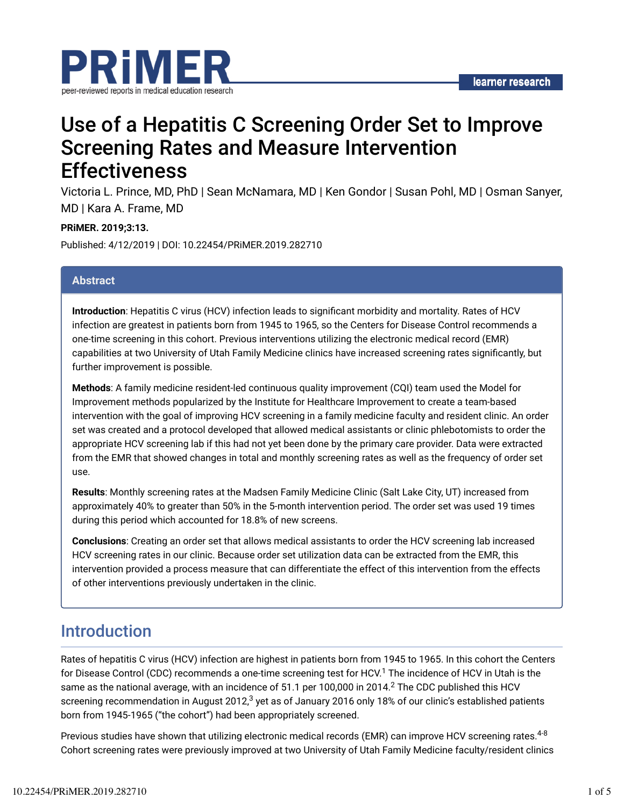

# Use of a Hepatitis C Screening Order Set to Improve Screening Rates and Measure Intervention **Effectiveness**

Victoria L. Prince, MD, PhD | Sean McNamara, MD | Ken Gondor | Susan Pohl, MD | Osman Sanyer, MD | Kara A. Frame, MD

### **PRiMER. 2019;3:13.**

Published: 4/12/2019 | DOI: 10.22454/PRiMER.2019.282710

### **Abstract**

**Introduction**: Hepatitis C virus (HCV) infection leads to significant morbidity and mortality. Rates of HCV infection are greatest in patients born from 1945 to 1965, so the Centers for Disease Control recommends a one-time screening in this cohort. Previous interventions utilizing the electronic medical record (EMR) capabilities at two University of Utah Family Medicine clinics have increased screening rates significantly, but further improvement is possible.

**Methods**: A family medicine resident-led continuous quality improvement (CQI) team used the Model for Improvement methods popularized by the Institute for Healthcare Improvement to create a team-based intervention with the goal of improving HCV screening in a family medicine faculty and resident clinic. An order set was created and a protocol developed that allowed medical assistants or clinic phlebotomists to order the appropriate HCV screening lab if this had not yet been done by the primary care provider. Data were extracted from the EMR that showed changes in total and monthly screening rates as well as the frequency of order set use.

**Results**: Monthly screening rates at the Madsen Family Medicine Clinic (Salt Lake City, UT) increased from approximately 40% to greater than 50% in the 5-month intervention period. The order set was used 19 times during this period which accounted for 18.8% of new screens.

**Conclusions**: Creating an order set that allows medical assistants to order the HCV screening lab increased HCV screening rates in our clinic. Because order set utilization data can be extracted from the EMR, this intervention provided a process measure that can differentiate the effect of this intervention from the effects of other interventions previously undertaken in the clinic.

### Introduction

Rates of hepatitis C virus (HCV) infection are highest in patients born from 1945 to 1965. In this cohort the Centers for Disease Control (CDC) recommends a one-time screening test for HCV.<sup>1</sup> The incidence of HCV in Utah is the same as the national average, with an incidence of 51.1 per 100,000 in 2014. $^2$  The CDC published this HCV screening recommendation in August 2012, $^3$  yet as of January 2016 only 18% of our clinic's established patients born from 1945-1965 ("the cohort") had been appropriately screened.

Previous studies have shown that utilizing electronic medical records (EMR) can improve HCV screening rates.<sup>4-8</sup> Cohort screening rates were previously improved at two University of Utah Family Medicine faculty/resident clinics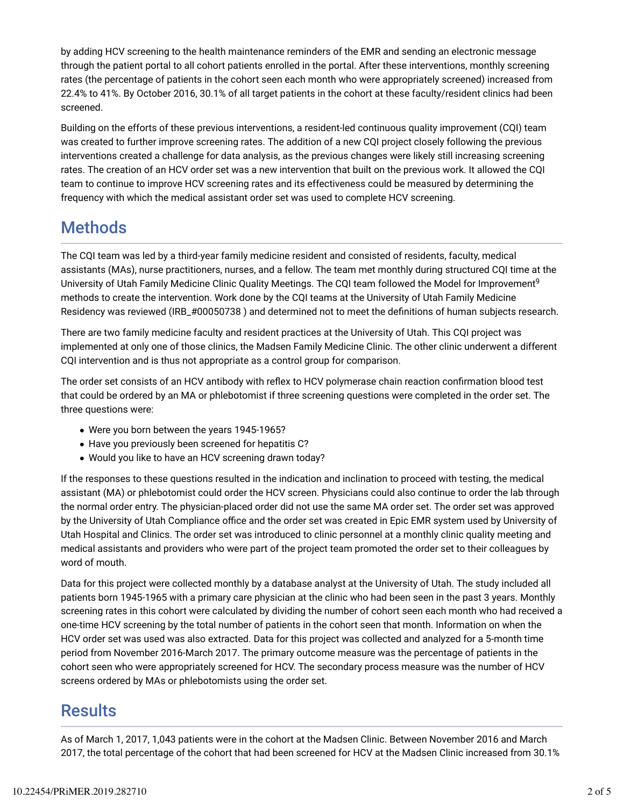by adding HCV screening to the health maintenance reminders of the EMR and sending an electronic message through the patient portal to all cohort patients enrolled in the portal. After these interventions, monthly screening rates (the percentage of patients in the cohort seen each month who were appropriately screened) increased from 22.4% to 41%. By October 2016, 30.1% of all target patients in the cohort at these faculty/resident clinics had been screened.

Building on the efforts of these previous interventions, a resident-led continuous quality improvement (CQI) team was created to further improve screening rates. The addition of a new CQI project closely following the previous interventions created a challenge for data analysis, as the previous changes were likely still increasing screening rates. The creation of an HCV order set was a new intervention that built on the previous work. It allowed the CQI team to continue to improve HCV screening rates and its effectiveness could be measured by determining the frequency with which the medical assistant order set was used to complete HCV screening.

# **Methods**

The CQI team was led by a third-year family medicine resident and consisted of residents, faculty, medical assistants (MAs), nurse practitioners, nurses, and a fellow. The team met monthly during structured CQI time at the University of Utah Family Medicine Clinic Quality Meetings. The CQI team followed the Model for Improvement<sup>9</sup> methods to create the intervention. Work done by the CQI teams at the University of Utah Family Medicine Residency was reviewed (IRB\_#00050738) and determined not to meet the definitions of human subjects research.

There are two family medicine faculty and resident practices at the University of Utah. This CQI project was implemented at only one of those clinics, the Madsen Family Medicine Clinic. The other clinic underwent a different CQI intervention and is thus not appropriate as a control group for comparison.

The order set consists of an HCV antibody with reflex to HCV polymerase chain reaction confirmation blood test that could be ordered by an MA or phlebotomist if three screening questions were completed in the order set. The three questions were:

- Were you born between the years 1945-1965?
- Have you previously been screened for hepatitis C?
- Would you like to have an HCV screening drawn today?

If the responses to these questions resulted in the indication and inclination to proceed with testing, the medical assistant (MA) or phlebotomist could order the HCV screen. Physicians could also continue to order the lab through the normal order entry. The physician-placed order did not use the same MA order set. The order set was approved by the University of Utah Compliance office and the order set was created in Epic EMR system used by University of Utah Hospital and Clinics. The order set was introduced to clinic personnel at a monthly clinic quality meeting and medical assistants and providers who were part of the project team promoted the order set to their colleagues by word of mouth.

Data for this project were collected monthly by a database analyst at the University of Utah. The study included all patients born 1945-1965 with a primary care physician at the clinic who had been seen in the past 3 years. Monthly screening rates in this cohort were calculated by dividing the number of cohort seen each month who had received a one-time HCV screening by the total number of patients in the cohort seen that month. Information on when the HCV order set was used was also extracted. Data for this project was collected and analyzed for a 5-month time period from November 2016-March 2017. The primary outcome measure was the percentage of patients in the cohort seen who were appropriately screened for HCV. The secondary process measure was the number of HCV screens ordered by MAs or phlebotomists using the order set.

## **Results**

As of March 1, 2017, 1,043 patients were in the cohort at the Madsen Clinic. Between November 2016 and March 2017, the total percentage of the cohort that had been screened for HCV at the Madsen Clinic increased from 30.1%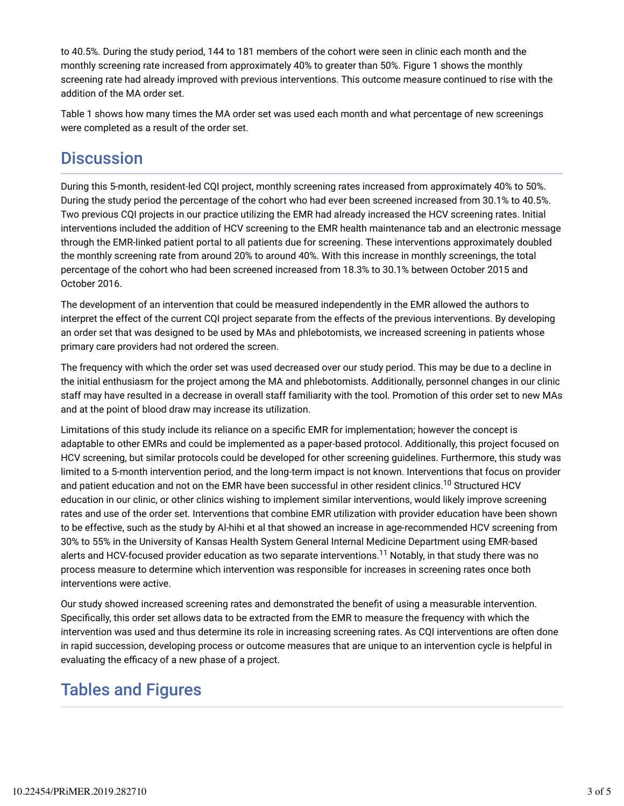to 40.5%. During the study period, 144 to 181 members of the cohort were seen in clinic each month and the monthly screening rate increased from approximately 40% to greater than 50%. Figure 1 shows the monthly screening rate had already improved with previous interventions. This outcome measure continued to rise with the addition of the MA order set.

Table 1 shows how many times the MA order set was used each month and what percentage of new screenings were completed as a result of the order set.

# **Discussion**

During this 5-month, resident-led CQI project, monthly screening rates increased from approximately 40% to 50%. During the study period the percentage of the cohort who had ever been screened increased from 30.1% to 40.5%. Two previous CQI projects in our practice utilizing the EMR had already increased the HCV screening rates. Initial interventions included the addition of HCV screening to the EMR health maintenance tab and an electronic message through the EMR-linked patient portal to all patients due for screening. These interventions approximately doubled the monthly screening rate from around 20% to around 40%. With this increase in monthly screenings, the total percentage of the cohort who had been screened increased from 18.3% to 30.1% between October 2015 and October 2016.

The development of an intervention that could be measured independently in the EMR allowed the authors to interpret the effect of the current CQI project separate from the effects of the previous interventions. By developing an order set that was designed to be used by MAs and phlebotomists, we increased screening in patients whose primary care providers had not ordered the screen.

The frequency with which the order set was used decreased over our study period. This may be due to a decline in the initial enthusiasm for the project among the MA and phlebotomists. Additionally, personnel changes in our clinic staff may have resulted in a decrease in overall staff familiarity with the tool. Promotion of this order set to new MAs and at the point of blood draw may increase its utilization.

Limitations of this study include its reliance on a specific EMR for implementation; however the concept is adaptable to other EMRs and could be implemented as a paper-based protocol. Additionally, this project focused on HCV screening, but similar protocols could be developed for other screening guidelines. Furthermore, this study was limited to a 5-month intervention period, and the long-term impact is not known. Interventions that focus on provider and patient education and not on the EMR have been successful in other resident clinics. $^{10}$  Structured HCV education in our clinic, or other clinics wishing to implement similar interventions, would likely improve screening rates and use of the order set. Interventions that combine EMR utilization with provider education have been shown to be effective, such as the study by Al-hihi et al that showed an increase in age-recommended HCV screening from 30% to 55% in the University of Kansas Health System General Internal Medicine Department using EMR-based alerts and HCV-focused provider education as two separate interventions.<sup>11</sup> Notably, in that study there was no process measure to determine which intervention was responsible for increases in screening rates once both interventions were active.

Our study showed increased screening rates and demonstrated the benefit of using a measurable intervention. Specifically, this order set allows data to be extracted from the EMR to measure the frequency with which the intervention was used and thus determine its role in increasing screening rates. As CQI interventions are often done in rapid succession, developing process or outcome measures that are unique to an intervention cycle is helpful in evaluating the efficacy of a new phase of a project.

# Tables and Figures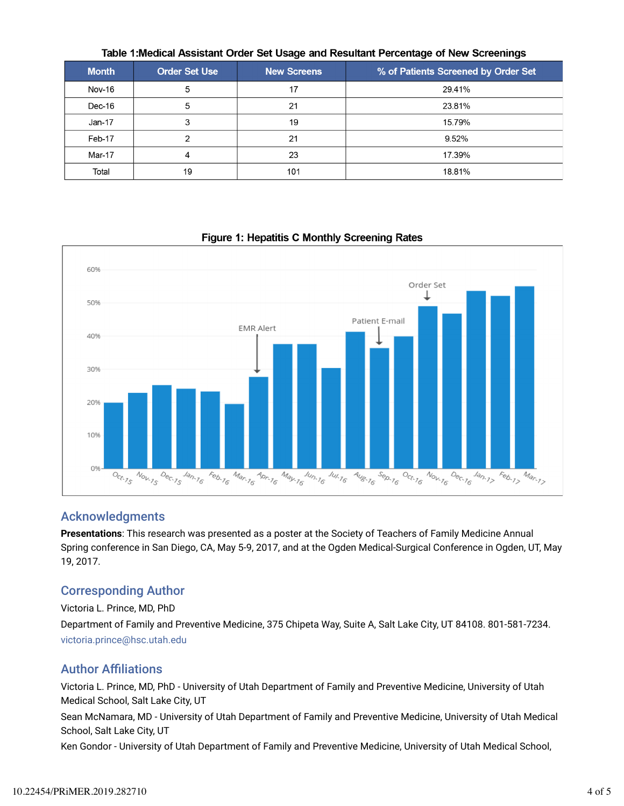|              |                      | $\tilde{\phantom{a}}$ | -<br>$\tilde{\phantom{a}}$          |
|--------------|----------------------|-----------------------|-------------------------------------|
| <b>Month</b> | <b>Order Set Use</b> | <b>New Screens</b>    | % of Patients Screened by Order Set |
| Nov-16       | 5                    | 17                    | 29.41%                              |
| Dec-16       | 5                    | 21                    | 23.81%                              |
| Jan-17       | 3                    | 19                    | 15.79%                              |
| Feb-17       |                      | 21                    | 9.52%                               |
| Mar-17       |                      | 23                    | 17.39%                              |
| Total        | 19                   | 101                   | 18.81%                              |

Table 1: Medical Assistant Order Set Usage and Resultant Percentage of New Screenings

#### 60% Order Set ⊥ 50% Patient E-mail **EMR Alert** 40% 30% 20% 10%  $O%$  $M_{a_{r_{1}}}_{r_{2}}$  $M_{\text{d}\mu_{16}}$  $N_{O_{k,j}}$  $O_{C_{1, 75}}$  $N_{O_{k_{1}}k_{2}}$  $\frac{D_{e_{C_7}}}{D_{f_3}}$  $\frac{J_{d_1}}{J_{d_2}}$ Feb. 16 **Apr** 16  $4u_{8.76}$  $\frac{S_{\Theta_{0.7}}}{S_{\Theta_{1.7}}}\$  $O_{C_c^*,76}$  $0_{e_{C_7}}$  $k_{66.75}$  $M_{a_{r_{1}}}_{a_{r_{2}}}$  $\frac{1}{4}$  $\frac{J_{U_1}}{J_6}$   $\frac{J_{U_1}}{J_6}$

# Figure 1: Hepatitis C Monthly Screening Rates

### Acknowledgments

**Presentations**: This research was presented as a poster at the Society of Teachers of Family Medicine Annual Spring conference in San Diego, CA, May 5-9, 2017, and at the Ogden Medical-Surgical Conference in Ogden, UT, May 19, 2017.

### Corresponding Author

Victoria L. Prince, MD, PhD

Department of Family and Preventive Medicine, 375 Chipeta Way, Suite A, Salt Lake City, UT 84108. 801-581-7234. victoria.prince@hsc.utah.edu

### **Author Affiliations**

Victoria L. Prince, MD, PhD - University of Utah Department of Family and Preventive Medicine, University of Utah Medical School, Salt Lake City, UT

Sean McNamara, MD - University of Utah Department of Family and Preventive Medicine, University of Utah Medical School, Salt Lake City, UT

Ken Gondor - University of Utah Department of Family and Preventive Medicine, University of Utah Medical School,